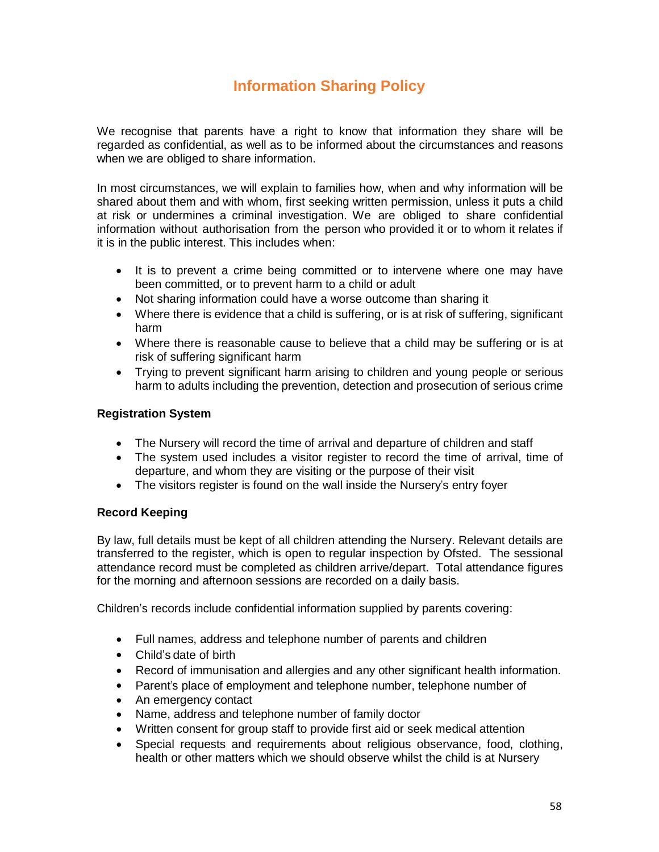# **Information Sharing Policy**

We recognise that parents have a right to know that information they share will be regarded as confidential, as well as to be informed about the circumstances and reasons when we are obliged to share information.

In most circumstances, we will explain to families how, when and why information will be shared about them and with whom, first seeking written permission, unless it puts a child at risk or undermines a criminal investigation. We are obliged to share confidential information without authorisation from the person who provided it or to whom it relates if it is in the public interest. This includes when:

- It is to prevent a crime being committed or to intervene where one may have been committed, or to prevent harm to a child or adult
- Not sharing information could have a worse outcome than sharing it
- Where there is evidence that a child is suffering, or is at risk of suffering, significant harm
- Where there is reasonable cause to believe that a child may be suffering or is at risk of suffering significant harm
- Trying to prevent significant harm arising to children and young people or serious harm to adults including the prevention, detection and prosecution of serious crime

# **Registration System**

- The Nursery will record the time of arrival and departure of children and staff
- The system used includes a visitor register to record the time of arrival, time of departure, and whom they are visiting or the purpose of their visit
- The visitors register is found on the wall inside the Nursery's entry foyer

# **Record Keeping**

By law, full details must be kept of all children attending the Nursery. Relevant details are transferred to the register, which is open to regular inspection by Ofsted. The sessional attendance record must be completed as children arrive/depart. Total attendance figures for the morning and afternoon sessions are recorded on a daily basis.

Children's records include confidential information supplied by parents covering:

- Full names, address and telephone number of parents and children
- Child's date of birth
- Record of immunisation and allergies and any other significant health information.
- Parent's place of employment and telephone number, telephone number of
- An emergency contact
- Name, address and telephone number of family doctor
- Written consent for group staff to provide first aid or seek medical attention
- Special requests and requirements about religious observance, food, clothing, health or other matters which we should observe whilst the child is at Nursery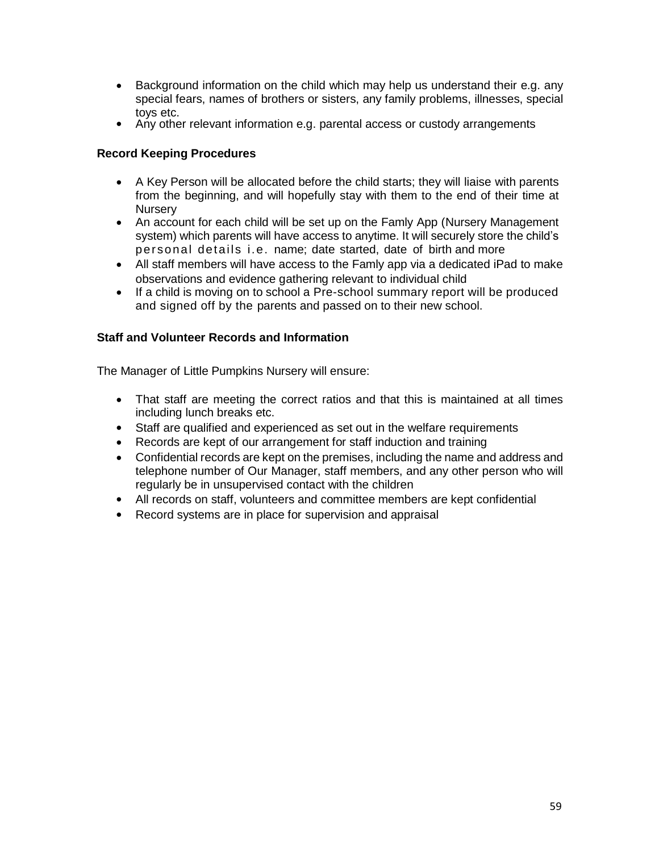- Background information on the child which may help us understand their e.g. any special fears, names of brothers or sisters, any family problems, illnesses, special toys etc.
- Any other relevant information e.g. parental access or custody arrangements

# **Record Keeping Procedures**

- A Key Person will be allocated before the child starts; they will liaise with parents from the beginning, and will hopefully stay with them to the end of their time at **Nursery**
- An account for each child will be set up on the Famly App (Nursery Management system) which parents will have access to anytime. It will securely store the child's personal details i.e. name; date started, date of birth and more
- All staff members will have access to the Famly app via a dedicated iPad to make observations and evidence gathering relevant to individual child
- If a child is moving on to school a Pre-school summary report will be produced and signed off by the parents and passed on to their new school.

# **Staff and Volunteer Records and Information**

The Manager of Little Pumpkins Nursery will ensure:

- That staff are meeting the correct ratios and that this is maintained at all times including lunch breaks etc.
- Staff are qualified and experienced as set out in the welfare requirements
- Records are kept of our arrangement for staff induction and training
- Confidential records are kept on the premises, including the name and address and telephone number of Our Manager, staff members, and any other person who will regularly be in unsupervised contact with the children
- All records on staff, volunteers and committee members are kept confidential
- Record systems are in place for supervision and appraisal